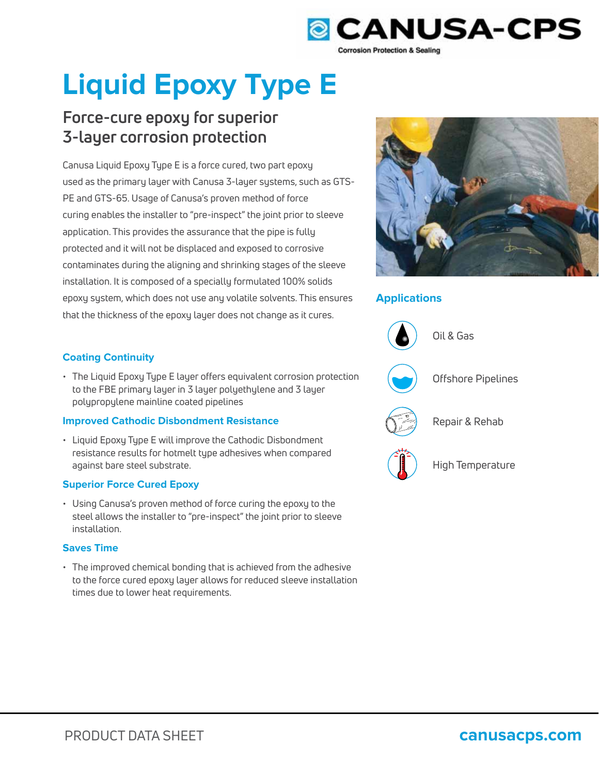

# **Liquid Epoxy Type E**

## **Force-cure epoxy for superior 3-layer corrosion protection**

Canusa Liquid Epoxy Type E is a force cured, two part epoxy used as the primary layer with Canusa 3-layer systems, such as GTS-PE and GTS-65. Usage of Canusa's proven method of force curing enables the installer to "pre-inspect" the joint prior to sleeve application. This provides the assurance that the pipe is fully protected and it will not be displaced and exposed to corrosive contaminates during the aligning and shrinking stages of the sleeve installation. It is composed of a specially formulated 100% solids epoxy system, which does not use any volatile solvents. This ensures that the thickness of the epoxy layer does not change as it cures.



## **Applications**



High Temperature

## **Coating Continuity**

• The Liquid Epoxy Type E layer offers equivalent corrosion protection to the FBE primary layer in 3 layer polyethylene and 3 layer polypropylene mainline coated pipelines

## **Improved Cathodic Disbondment Resistance**

• Liquid Epoxy Type E will improve the Cathodic Disbondment resistance results for hotmelt type adhesives when compared against bare steel substrate.

## **Superior Force Cured Epoxy**

• Using Canusa's proven method of force curing the epoxy to the steel allows the installer to "pre-inspect" the joint prior to sleeve installation.

## **Saves Time**

• The improved chemical bonding that is achieved from the adhesive to the force cured epoxy layer allows for reduced sleeve installation times due to lower heat requirements.